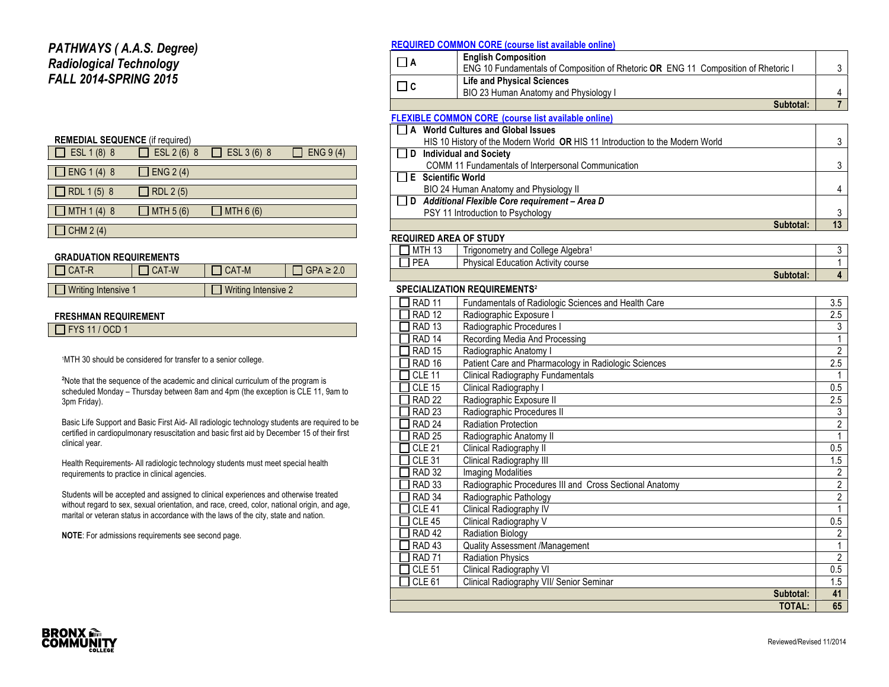## *PATHWAYS ( A.A.S. Degree) Radiological Technology FALL 2014-SPRING 2015*

#### **REMEDIAL SEQUENCE** (if required)

| $\Box$ ESL 1 (8) 8 | $\Box$ ESL 2 (6) 8 | $\Box$ ESL 3 (6) 8 | ENG $9(4)$ |
|--------------------|--------------------|--------------------|------------|
| $\Box$ ENG 1 (4) 8 | $J$ ENG 2 (4)      |                    |            |
| $\Box$ RDL 1(5) 8  | $\Box$ RDL 2 (5)   |                    |            |
| $\Box$ MTH 1 (4) 8 | $\Box$ MTH 5 (6)   | $\Box$ MTH 6 (6)   |            |
| CHM $2(4)$         |                    |                    |            |

#### **GRADUATION REQUIREMENTS**

| $ICAT-R$              | CAT-W | I CAT-M             | $GPA \geq 2.0$ |
|-----------------------|-------|---------------------|----------------|
|                       |       |                     |                |
| ■ Writing Intensive 1 |       | Writing Intensive 2 |                |

#### **FRESHMAN REQUIREMENT**

 $\overline{\phantom{a}}$  FYS 11 / OCD 1

1MTH 30 should be considered for transfer to a senior college.

²Note that the sequence of the academic and clinical curriculum of the program is scheduled Monday – Thursday between 8am and 4pm (the exception is CLE 11, 9am to 3pm Friday).

Basic Life Support and Basic First Aid- All radiologic technology students are required to be certified in cardiopulmonary resuscitation and basic first aid by December 15 of their first clinical year.

Health Requirements- All radiologic technology students must meet special health requirements to practice in clinical agencies.

Students will be accepted and assigned to clinical experiences and otherwise treated without regard to sex, sexual orientation, and race, creed, color, national origin, and age, marital or veteran status in accordance with the laws of the city, state and nation.

**NOTE**: For admissions requirements see second page.

### **REQUIRED COMMON CORE (course list available online)**

| <b>English Composition</b><br>ENG 10 Fundamentals of Composition of Rhetoric OR ENG 11 Composition of Rhetoric I |  |
|------------------------------------------------------------------------------------------------------------------|--|
| <b>Life and Physical Sciences</b><br>BIO 23 Human Anatomy and Physiology I                                       |  |
| Subtotal:                                                                                                        |  |

## **FLEXIBLE COMMON CORE (course list available online)**

|        | A World Cultures and Global Issues                                            |    |
|--------|-------------------------------------------------------------------------------|----|
|        | HIS 10 History of the Modern World OR HIS 11 Introduction to the Modern World |    |
| $\Box$ | <b>Individual and Society</b>                                                 |    |
|        | COMM 11 Fundamentals of Interpersonal Communication                           |    |
|        | E Scientific World                                                            |    |
|        | BIO 24 Human Anatomy and Physiology II                                        |    |
| $\Box$ | Additional Flexible Core requirement - Area D                                 |    |
|        | PSY 11 Introduction to Psychology                                             |    |
|        | Subtotal:                                                                     | 13 |

### **REQUIRED AREA OF STUDY**

| 12<br>MTH<br>ن ا | - -<br>College Algebra <sup>1</sup><br>I rigonometry and |  |
|------------------|----------------------------------------------------------|--|
| PEA              | <b>Physical Education Activity course</b>                |  |
|                  | Subtotal:                                                |  |

### **SPECIALIZATION REQUIREMENTS**²

| <b>RAD 11</b>     | Fundamentals of Radiologic Sciences and Health Care     | 3.5            |
|-------------------|---------------------------------------------------------|----------------|
| <b>RAD 12</b>     | Radiographic Exposure I                                 | 2.5            |
| <b>RAD 13</b>     | Radiographic Procedures I                               | 3              |
| RAD <sub>14</sub> | Recording Media And Processing                          |                |
| <b>RAD 15</b>     | Radiographic Anatomy I                                  | $\overline{2}$ |
| RAD <sub>16</sub> | Patient Care and Pharmacology in Radiologic Sciences    | 2.5            |
| <b>CLE 11</b>     | Clinical Radiography Fundamentals                       |                |
| <b>CLE 15</b>     | Clinical Radiography I                                  | 0.5            |
| <b>RAD 22</b>     | Radiographic Exposure II                                | 2.5            |
| RAD <sub>23</sub> | Radiographic Procedures II                              | 3              |
| RAD <sub>24</sub> | <b>Radiation Protection</b>                             | 2              |
| <b>RAD 25</b>     | Radiographic Anatomy II                                 |                |
| <b>CLE 21</b>     | Clinical Radiography II                                 | 0.5            |
| <b>CLE 31</b>     | Clinical Radiography III                                | 1.5            |
| <b>RAD 32</b>     | <b>Imaging Modalities</b>                               | $\overline{2}$ |
| <b>RAD 33</b>     | Radiographic Procedures III and Cross Sectional Anatomy | $\overline{2}$ |
| <b>RAD 34</b>     | Radiographic Pathology                                  | 2              |
| <b>CLE 41</b>     | Clinical Radiography IV                                 |                |
| <b>CLE 45</b>     | Clinical Radiography V                                  | 0.5            |
| RAD <sub>42</sub> | <b>Radiation Biology</b>                                | 2              |
| RAD <sub>43</sub> | Quality Assessment /Management                          | 1              |
| <b>RAD 71</b>     | <b>Radiation Physics</b>                                | $\overline{2}$ |
| <b>CLE 51</b>     | Clinical Radiography VI                                 | 0.5            |
| <b>CLE 61</b>     | Clinical Radiography VII/ Senior Seminar                | 1.5            |
|                   | Subtotal:                                               | 41             |
|                   | <b>TOTAL:</b>                                           | 65             |